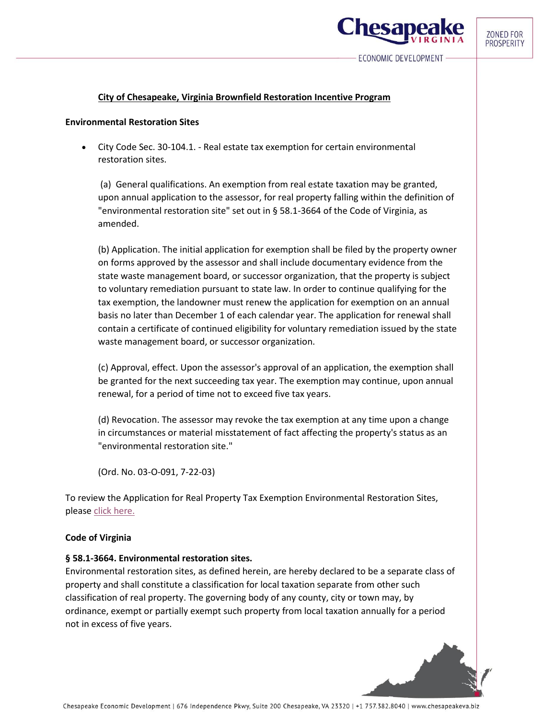# **City of Chesapeake, Virginia Brownfield Restoration Incentive Program**

### **Environmental Restoration Sites**

 City Code Sec. 30-104.1. - Real estate tax exemption for certain environmental restoration sites.

(a) General qualifications. An exemption from real estate taxation may be granted, upon annual application to the assessor, for real property falling within the definition of "environmental restoration site" set out in § 58.1-3664 of the Code of Virginia, as amended.

(b) Application. The initial application for exemption shall be filed by the property owner on forms approved by the assessor and shall include documentary evidence from the state waste management board, or successor organization, that the property is subject to voluntary remediation pursuant to state law. In order to continue qualifying for the tax exemption, the landowner must renew the application for exemption on an annual basis no later than December 1 of each calendar year. The application for renewal shall contain a certificate of continued eligibility for voluntary remediation issued by the state waste management board, or successor organization.

(c) Approval, effect. Upon the assessor's approval of an application, the exemption shall be granted for the next succeeding tax year. The exemption may continue, upon annual renewal, for a period of time not to exceed five tax years.

(d) Revocation. The assessor may revoke the tax exemption at any time upon a change in circumstances or material misstatement of fact affecting the property's status as an "environmental restoration site."

(Ord. No. 03-O-091, 7-22-03)

To review the Application for Real Property Tax Exemption Environmental Restoration Sites, please [click here.](Tax%20Exempt%20Application%20for%20Brownfields.pdf)

### **Code of Virginia**

## **§ 58.1-3664. Environmental restoration sites.**

Environmental restoration sites, as defined herein, are hereby declared to be a separate class of property and shall constitute a classification for local taxation separate from other such classification of real property. The governing body of any county, city or town may, by ordinance, exempt or partially exempt such property from local taxation annually for a period not in excess of five years.

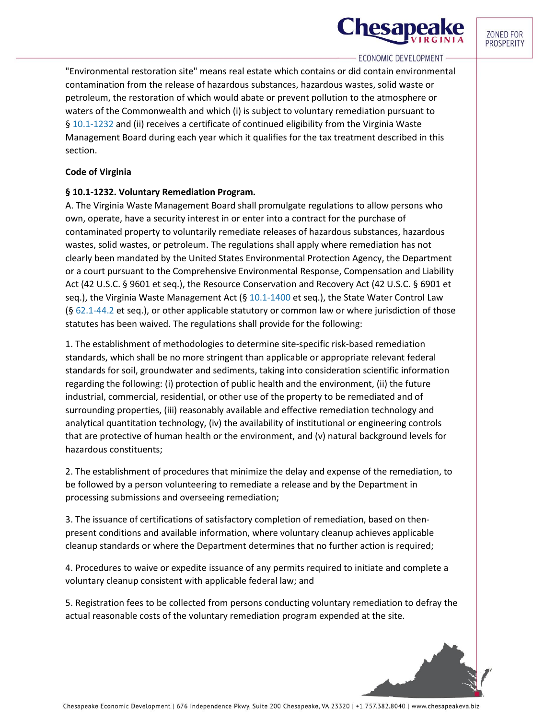# **Chesar**

#### ECONOMIC DEVELOPMENT

"Environmental restoration site" means real estate which contains or did contain environmental contamination from the release of hazardous substances, hazardous wastes, solid waste or petroleum, the restoration of which would abate or prevent pollution to the atmosphere or waters of the Commonwealth and which (i) is subject to voluntary remediation pursuant to § [10.1-1232](http://law.lis.virginia.gov/vacode/10.1-1232/) and (ii) receives a certificate of continued eligibility from the Virginia Waste Management Board during each year which it qualifies for the tax treatment described in this section.

# **Code of Virginia**

# **§ 10.1-1232. Voluntary Remediation Program.**

A. The Virginia Waste Management Board shall promulgate regulations to allow persons who own, operate, have a security interest in or enter into a contract for the purchase of contaminated property to voluntarily remediate releases of hazardous substances, hazardous wastes, solid wastes, or petroleum. The regulations shall apply where remediation has not clearly been mandated by the United States Environmental Protection Agency, the Department or a court pursuant to the Comprehensive Environmental Response, Compensation and Liability Act (42 U.S.C. § 9601 et seq.), the Resource Conservation and Recovery Act (42 U.S.C. § 6901 et seq.), the Virginia Waste Management Act (§ [10.1-1400](http://law.lis.virginia.gov/vacode/10.1-1400/) et seq.), the State Water Control Law (§ [62.1-44.2](http://law.lis.virginia.gov/vacode/62.1-44.2/) et seq.), or other applicable statutory or common law or where jurisdiction of those statutes has been waived. The regulations shall provide for the following:

1. The establishment of methodologies to determine site-specific risk-based remediation standards, which shall be no more stringent than applicable or appropriate relevant federal standards for soil, groundwater and sediments, taking into consideration scientific information regarding the following: (i) protection of public health and the environment, (ii) the future industrial, commercial, residential, or other use of the property to be remediated and of surrounding properties, (iii) reasonably available and effective remediation technology and analytical quantitation technology, (iv) the availability of institutional or engineering controls that are protective of human health or the environment, and (v) natural background levels for hazardous constituents;

2. The establishment of procedures that minimize the delay and expense of the remediation, to be followed by a person volunteering to remediate a release and by the Department in processing submissions and overseeing remediation;

3. The issuance of certifications of satisfactory completion of remediation, based on thenpresent conditions and available information, where voluntary cleanup achieves applicable cleanup standards or where the Department determines that no further action is required;

4. Procedures to waive or expedite issuance of any permits required to initiate and complete a voluntary cleanup consistent with applicable federal law; and

5. Registration fees to be collected from persons conducting voluntary remediation to defray the actual reasonable costs of the voluntary remediation program expended at the site.

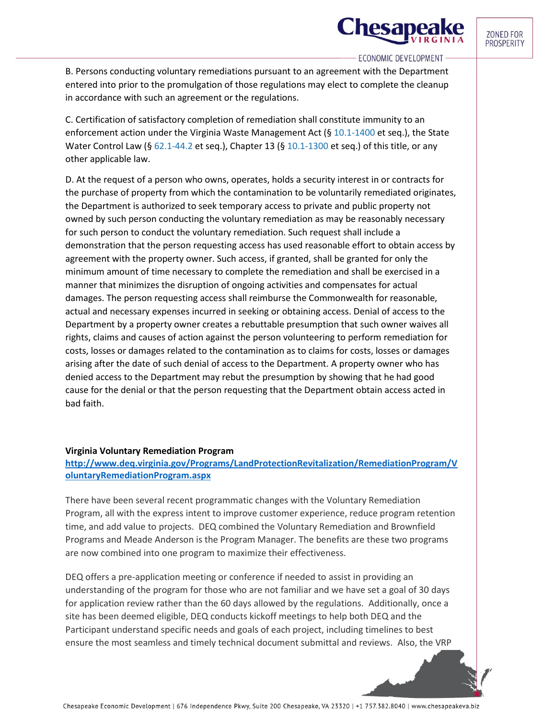

#### ECONOMIC DEVELOPMENT

B. Persons conducting voluntary remediations pursuant to an agreement with the Department entered into prior to the promulgation of those regulations may elect to complete the cleanup in accordance with such an agreement or the regulations.

C. Certification of satisfactory completion of remediation shall constitute immunity to an enforcement action under the Virginia Waste Management Act (§ [10.1-1400](http://law.lis.virginia.gov/vacode/10.1-1400/) et seq.), the State Water Control Law (§ [62.1-44.2](http://law.lis.virginia.gov/vacode/62.1-44.2/) et seq.), Chapter 13 (§ [10.1-1300](http://law.lis.virginia.gov/vacode/10.1-1300/) et seq.) of this title, or any other applicable law.

D. At the request of a person who owns, operates, holds a security interest in or contracts for the purchase of property from which the contamination to be voluntarily remediated originates, the Department is authorized to seek temporary access to private and public property not owned by such person conducting the voluntary remediation as may be reasonably necessary for such person to conduct the voluntary remediation. Such request shall include a demonstration that the person requesting access has used reasonable effort to obtain access by agreement with the property owner. Such access, if granted, shall be granted for only the minimum amount of time necessary to complete the remediation and shall be exercised in a manner that minimizes the disruption of ongoing activities and compensates for actual damages. The person requesting access shall reimburse the Commonwealth for reasonable, actual and necessary expenses incurred in seeking or obtaining access. Denial of access to the Department by a property owner creates a rebuttable presumption that such owner waives all rights, claims and causes of action against the person volunteering to perform remediation for costs, losses or damages related to the contamination as to claims for costs, losses or damages arising after the date of such denial of access to the Department. A property owner who has denied access to the Department may rebut the presumption by showing that he had good cause for the denial or that the person requesting that the Department obtain access acted in bad faith.

### **Virginia Voluntary Remediation Program**

**[http://www.deq.virginia.gov/Programs/LandProtectionRevitalization/RemediationProgram/V](http://www.deq.virginia.gov/Programs/LandProtectionRevitalization/RemediationProgram/VoluntaryRemediationProgram.aspx) [oluntaryRemediationProgram.aspx](http://www.deq.virginia.gov/Programs/LandProtectionRevitalization/RemediationProgram/VoluntaryRemediationProgram.aspx)**

There have been several recent programmatic changes with the Voluntary Remediation Program, all with the express intent to improve customer experience, reduce program retention time, and add value to projects. DEQ combined the Voluntary Remediation and Brownfield Programs and Meade Anderson is the Program Manager. The benefits are these two programs are now combined into one program to maximize their effectiveness.

DEQ offers a pre-application meeting or conference if needed to assist in providing an understanding of the program for those who are not familiar and we have set a goal of 30 days for application review rather than the 60 days allowed by the regulations. Additionally, once a site has been deemed eligible, DEQ conducts kickoff meetings to help both DEQ and the Participant understand specific needs and goals of each project, including timelines to best ensure the most seamless and timely technical document submittal and reviews. Also, the VRP